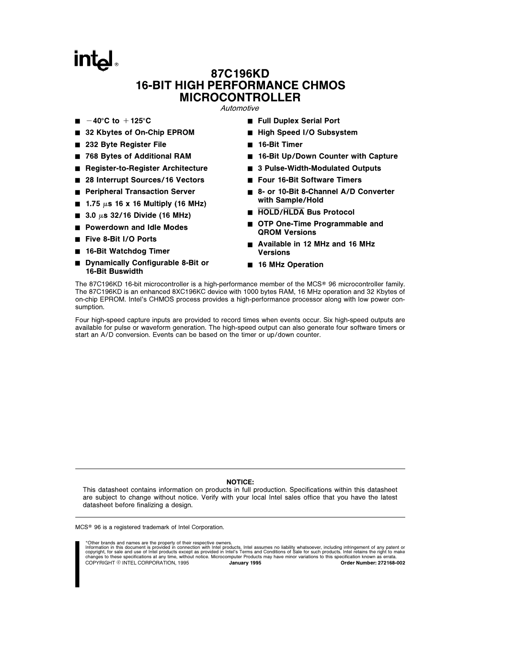# **intal**

# 87C196KD 16-BIT HIGH PERFORMANCE CHMOS MICROCONTROLLER

**Automotive** 

- $\blacksquare$  -40°C to +125°C
- 32 Kbytes of On-Chip EPROM
- 232 Byte Register File
- 768 Bytes of Additional RAM
- Register-to-Register Architecture
- 28 Interrupt Sources/16 Vectors
- **Peripheral Transaction Server**
- $\blacksquare$  1.75  $\mu$ s 16 x 16 Multiply (16 MHz)
- $\blacksquare$  3.0  $\mu$ s 32/16 Divide (16 MHz)
- **Powerdown and Idle Modes**
- Five 8-Bit I/O Ports
- 16-Bit Watchdog Timer
- Dynamically Configurable 8-Bit or 16-Bit Buswidth
- Full Duplex Serial Port
- High Speed I/O Subsystem
- $\blacksquare$  16-Bit Timer
- 16-Bit Up/Down Counter with Capture
- 3 Pulse-Width-Modulated Outputs
- Four 16-Bit Software Timers
- 8- or 10-Bit 8-Channel A/D Converter with Sample/Hold
- **HOLD/HLDA Bus Protocol**
- OTP One-Time Programmable and QROM Versions
- Available in 12 MHz and 16 MHz Versions
- 16 MHz Operation

The 87C196KD 16-bit microcontroller is a high-performance member of the MCS® 96 microcontroller family. The 87C196KD is an enhanced 8XC196KC device with 1000 bytes RAM, 16 MHz operation and 32 Kbytes of on-chip EPROM. Intel's CHMOS process provides a high-performance processor along with low power consumption.

Four high-speed capture inputs are provided to record times when events occur. Six high-speed outputs are available for pulse or waveform generation. The high-speed output can also generate four software timers or start an A/D conversion. Events can be based on the timer or up/down counter.

#### NOTICE:

This datasheet contains information on products in full production. Specifications within this datasheet are subject to change without notice. Verify with your local Intel sales office that you have the latest datasheet before finalizing a design.

MCS<sup>®</sup> 96 is a registered trademark of Intel Corporation.

\*Other brands and names are the property of their respective owners. Information in this document is provided in connection with Intel products. Intel assumes no liability whatsoever, including infringement of any patent or<br>copyright, for sale and use of Intel products except as provided in COPYRIGHT © INTEL CORPORATION, 1995 January 1995 January 1995 Order Number: 272168-002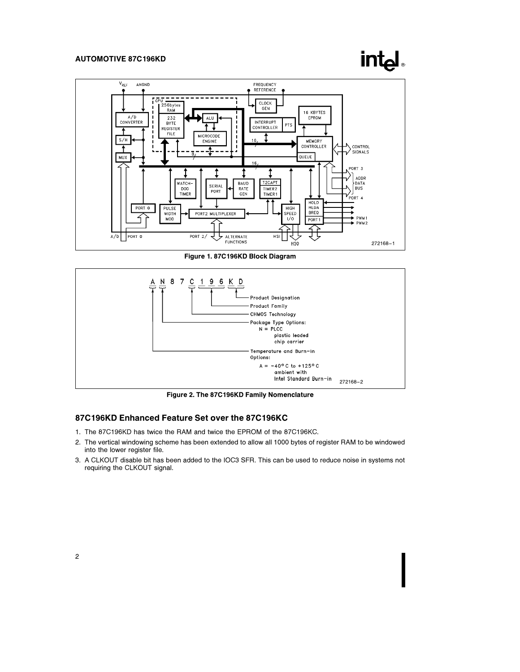# **intel**



Figure 1. 87C196KD Block Diagram



Figure 2. The 87C196KD Family Nomenclature

### 87C196KD Enhanced Feature Set over the 87C196KC

- 1. The 87C196KD has twice the RAM and twice the EPROM of the 87C196KC.
- 2. The vertical windowing scheme has been extended to allow all 1000 bytes of register RAM to be windowed into the lower register file.
- 3. A CLKOUT disable bit has been added to the IOC3 SFR. This can be used to reduce noise in systems not requiring the CLKOUT signal.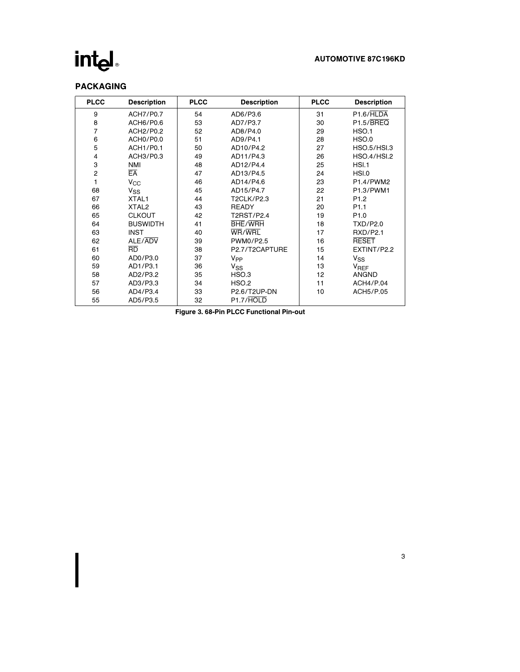## AUTOMOTIVE 87C196KD

# PACKAGING

| <b>PLCC</b>    | <b>Description</b> | <b>PLCC</b> | <b>Description</b>     | <b>PLCC</b> | <b>Description</b>     |
|----------------|--------------------|-------------|------------------------|-------------|------------------------|
| 9              | <b>ACH7/P0.7</b>   | 54          | AD6/P3.6               | 31          | P <sub>1.6</sub> /HLDA |
| 8              | ACH6/P0.6          | 53          | AD7/P3.7               | 30          | P1.5/ <b>BREQ</b>      |
| 7              | ACH2/P0.2          | 52          | AD8/P4.0               | 29          | HSO.1                  |
| 6              | ACHO/PO.0          | 51          | AD9/P4.1               | 28          | HSO.0                  |
| 5              | ACH1/P0.1          | 50          | AD10/P4.2              | 27          | <b>HSO.5/HSI.3</b>     |
| 4              | ACH3/P0.3          | 49          | AD11/P4.3              | 26          | <b>HSO.4/HSI.2</b>     |
| 3              | <b>NMI</b>         | 48          | AD12/P4.4              | 25          | HSI.1                  |
| $\overline{2}$ | EA                 | 47          | AD13/P4.5              | 24          | HSI.0                  |
| 1              | $V_{\rm CC}$       | 46          | AD14/P4.6              | 23          | P1.4/PWM2              |
| 68             | V <sub>SS</sub>    | 45          | AD15/P4.7              | 22          | P1.3/PWM1              |
| 67             | XTAL1              | 44          | <b>T2CLK/P2.3</b>      | 21          | P <sub>1.2</sub>       |
| 66             | XTAL <sub>2</sub>  | 43          | <b>READY</b>           | 20          | P <sub>1.1</sub>       |
| 65             | <b>CLKOUT</b>      | 42          | T2RST/P2.4             | 19          | P <sub>1.0</sub>       |
| 64             | <b>BUSWIDTH</b>    | 41          | <b>BHE/WRH</b>         | 18          | TXD/P2.0               |
| 63             | <b>INST</b>        | 40          | WR/WRL                 | 17          | <b>RXD/P2.1</b>        |
| 62             | ALE/ADV            | 39          | PWM0/P2.5              | 16          | <b>RESET</b>           |
| 61             | $\overline{RD}$    | 38          | P2.7/T2CAPTURE         | 15          | EXTINT/P2.2            |
| 60             | AD0/P3.0           | 37          | V <sub>PP</sub>        | 14          | $V_{SS}$               |
| 59             | AD1/P3.1           | 36          | <b>V<sub>SS</sub></b>  | 13          | <b>V<sub>REF</sub></b> |
| 58             | AD2/P3.2           | 35          | HSO.3                  | 12          | ANGND                  |
| 57             | AD3/P3.3           | 34          | HSO.2                  | 11          | ACH4/P.04              |
| 56             | AD4/P3.4           | 33          | P2.6/T2UP-DN           | 10          | ACH5/P.05              |
| 55             | AD5/P3.5           | 32          | P <sub>1.7</sub> /HOLD |             |                        |

Figure 3. 68-Pin PLCC Functional Pin-out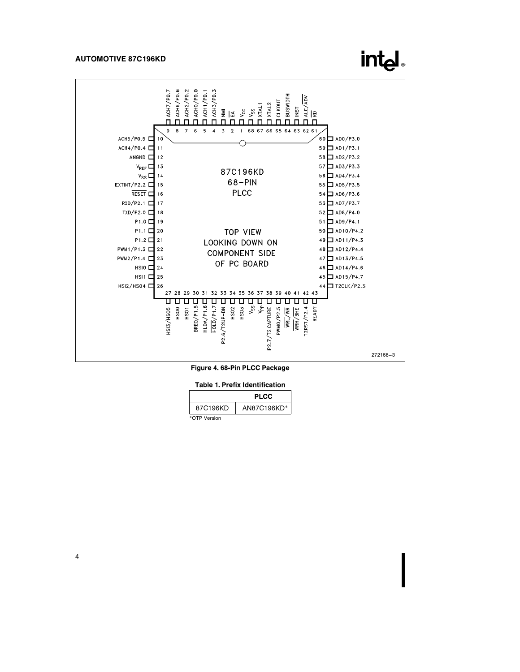

**intel** 

Figure 4. 68-Pin PLCC Package

Table 1. Prefix Identification

|              | <b>PLCC</b> |
|--------------|-------------|
| 87C196KD     | AN87C196KD* |
| *OTP Version |             |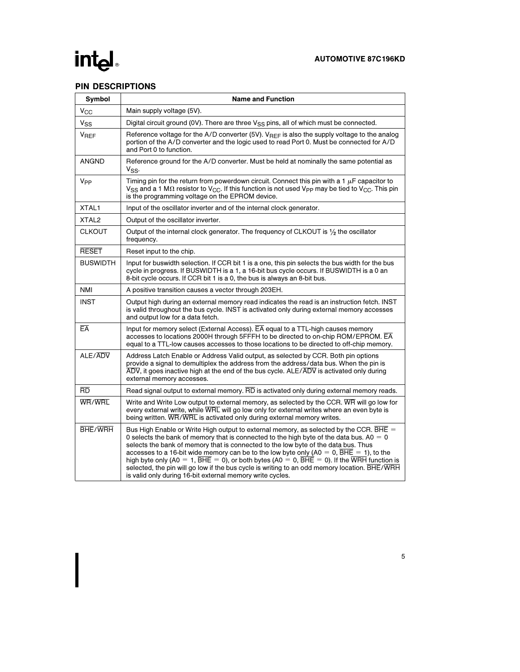# PIN DESCRIPTIONS

| Symbol            | <b>Name and Function</b>                                                                                                                                                                                                                                                                                                                                                                                                                                                                                                                                                                                                                                             |  |  |  |  |
|-------------------|----------------------------------------------------------------------------------------------------------------------------------------------------------------------------------------------------------------------------------------------------------------------------------------------------------------------------------------------------------------------------------------------------------------------------------------------------------------------------------------------------------------------------------------------------------------------------------------------------------------------------------------------------------------------|--|--|--|--|
| $V_{\rm CC}$      | Main supply voltage (5V).                                                                                                                                                                                                                                                                                                                                                                                                                                                                                                                                                                                                                                            |  |  |  |  |
| $V_{SS}$          | Digital circuit ground (0V). There are three V <sub>SS</sub> pins, all of which must be connected.                                                                                                                                                                                                                                                                                                                                                                                                                                                                                                                                                                   |  |  |  |  |
| V <sub>REF</sub>  | Reference voltage for the A/D converter (5V). $V_{REF}$ is also the supply voltage to the analog<br>portion of the A/D converter and the logic used to read Port 0. Must be connected for A/D<br>and Port 0 to function.                                                                                                                                                                                                                                                                                                                                                                                                                                             |  |  |  |  |
| <b>ANGND</b>      | Reference ground for the A/D converter. Must be held at nominally the same potential as<br>Vss.                                                                                                                                                                                                                                                                                                                                                                                                                                                                                                                                                                      |  |  |  |  |
| V <sub>PP</sub>   | Timing pin for the return from powerdown circuit. Connect this pin with a 1 $\mu$ F capacitor to<br>$V_{SS}$ and a 1 M $\Omega$ resistor to $V_{CC}$ . If this function is not used $V_{PP}$ may be tied to $V_{CC}$ . This pin<br>is the programming voltage on the EPROM device.                                                                                                                                                                                                                                                                                                                                                                                   |  |  |  |  |
| XTAL1             | Input of the oscillator inverter and of the internal clock generator.                                                                                                                                                                                                                                                                                                                                                                                                                                                                                                                                                                                                |  |  |  |  |
| XTAL <sub>2</sub> | Output of the oscillator inverter.                                                                                                                                                                                                                                                                                                                                                                                                                                                                                                                                                                                                                                   |  |  |  |  |
| <b>CLKOUT</b>     | Output of the internal clock generator. The frequency of CLKOUT is 1/2 the oscillator<br>frequency.                                                                                                                                                                                                                                                                                                                                                                                                                                                                                                                                                                  |  |  |  |  |
| <b>RESET</b>      | Reset input to the chip.                                                                                                                                                                                                                                                                                                                                                                                                                                                                                                                                                                                                                                             |  |  |  |  |
| <b>BUSWIDTH</b>   | Input for buswidth selection. If CCR bit 1 is a one, this pin selects the bus width for the bus<br>cycle in progress. If BUSWIDTH is a 1, a 16-bit bus cycle occurs. If BUSWIDTH is a 0 an<br>8-bit cycle occurs. If CCR bit 1 is a 0, the bus is always an 8-bit bus.                                                                                                                                                                                                                                                                                                                                                                                               |  |  |  |  |
| NMI               | A positive transition causes a vector through 203EH.                                                                                                                                                                                                                                                                                                                                                                                                                                                                                                                                                                                                                 |  |  |  |  |
| <b>INST</b>       | Output high during an external memory read indicates the read is an instruction fetch. INST<br>is valid throughout the bus cycle. INST is activated only during external memory accesses<br>and output low for a data fetch.                                                                                                                                                                                                                                                                                                                                                                                                                                         |  |  |  |  |
| EĀ                | Input for memory select (External Access). EA equal to a TTL-high causes memory<br>accesses to locations 2000H through 5FFFH to be directed to on-chip ROM/EPROM. EA<br>equal to a TTL-low causes accesses to those locations to be directed to off-chip memory.                                                                                                                                                                                                                                                                                                                                                                                                     |  |  |  |  |
| ALE/ADV           | Address Latch Enable or Address Valid output, as selected by CCR. Both pin options<br>provide a signal to demultiplex the address from the address/data bus. When the pin is<br>$\overline{\text{ADV}}$ , it goes inactive high at the end of the bus cycle. $\text{ALE}/\overline{\text{ADV}}$ is activated only during<br>external memory accesses.                                                                                                                                                                                                                                                                                                                |  |  |  |  |
| $\overline{RD}$   | Read signal output to external memory. RD is activated only during external memory reads.                                                                                                                                                                                                                                                                                                                                                                                                                                                                                                                                                                            |  |  |  |  |
| WR/WRL            | Write and Write Low output to external memory, as selected by the CCR. WR will go low for<br>every external write, while WRL will go low only for external writes where an even byte is<br>being written. WR/WRL is activated only during external memory writes.                                                                                                                                                                                                                                                                                                                                                                                                    |  |  |  |  |
| <b>BHE/WRH</b>    | Bus High Enable or Write High output to external memory, as selected by the CCR. $\overline{BHE}$ =<br>0 selects the bank of memory that is connected to the high byte of the data bus. A0 $=$ 0<br>selects the bank of memory that is connected to the low byte of the data bus. Thus<br>accesses to a 16-bit wide memory can be to the low byte only (A0 = 0, BHE = 1), to the<br>high byte only (A0 = 1, $\overline{BHE}$ = 0), or both bytes (A0 = 0, $\overline{BHE}$ = 0). If the WRH function is<br>selected, the pin will go low if the bus cycle is writing to an odd memory location. BHE/WRH<br>is valid only during 16-bit external memory write cycles. |  |  |  |  |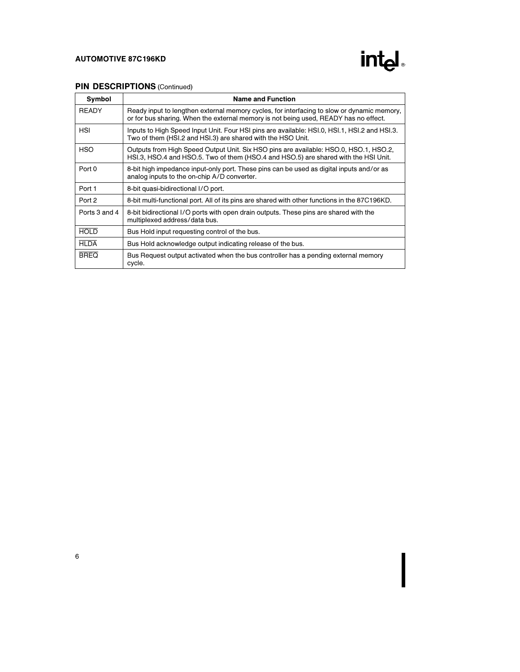

# PIN DESCRIPTIONS (Continued)

| Symbol        | <b>Name and Function</b>                                                                                                                                                           |
|---------------|------------------------------------------------------------------------------------------------------------------------------------------------------------------------------------|
| <b>READY</b>  | Ready input to lengthen external memory cycles, for interfacing to slow or dynamic memory,<br>or for bus sharing. When the external memory is not being used, READY has no effect. |
| <b>HSI</b>    | Inputs to High Speed Input Unit. Four HSI pins are available: HSI.0, HSI.1, HSI.2 and HSI.3.<br>Two of them (HSI.2 and HSI.3) are shared with the HSO Unit.                        |
| <b>HSO</b>    | Outputs from High Speed Output Unit. Six HSO pins are available: HSO.0, HSO.1, HSO.2,<br>HSI.3, HSO.4 and HSO.5. Two of them (HSO.4 and HSO.5) are shared with the HSI Unit.       |
| Port 0        | 8-bit high impedance input-only port. These pins can be used as digital inputs and/or as<br>analog inputs to the on-chip A/D converter.                                            |
| Port 1        | 8-bit quasi-bidirectional I/O port.                                                                                                                                                |
| Port 2        | 8-bit multi-functional port. All of its pins are shared with other functions in the 87C196KD.                                                                                      |
| Ports 3 and 4 | 8-bit bidirectional I/O ports with open drain outputs. These pins are shared with the<br>multiplexed address/data bus.                                                             |
| <b>HOLD</b>   | Bus Hold input requesting control of the bus.                                                                                                                                      |
| <b>HLDA</b>   | Bus Hold acknowledge output indicating release of the bus.                                                                                                                         |
| <b>BREQ</b>   | Bus Request output activated when the bus controller has a pending external memory<br>cycle.                                                                                       |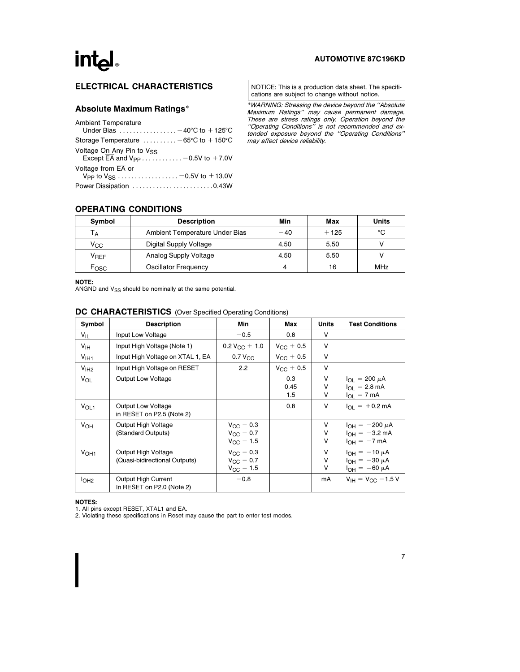# int<sub>el</sub>

### AUTOMOTIVE 87C196KD

# ELECTRICAL CHARACTERISTICS

### Absolute Maximum Ratings\*

| <b>Ambient Temperature</b><br>Under Bias $\ldots \ldots \ldots \ldots -40$ °C to $+125$ °C                 |
|------------------------------------------------------------------------------------------------------------|
| Storage Temperature $\dots \dots -65$ °C to $+150$ °C                                                      |
| Voltage On Any Pin to V <sub>SS</sub><br>Except $\overline{\text{EA}}$ and $V_{\text{PP}}$ - 0.5V to +7.0V |
| Voltage from EA or<br>V <sub>PP</sub> to V <sub>SS</sub> -0.5V to +13.0V                                   |
| Power Dissipation 0.43W                                                                                    |

NOTICE: This is a production data sheet. The specifications are subject to change without notice.

\*WARNING: Stressing the device beyond the ''Absolute Maximum Ratings'' may cause permanent damage. These are stress ratings only. Operation beyond the ''Operating Conditions'' is not recommended and extended exposure beyond the ''Operating Conditions'' may affect device reliability.

### OPERATING CONDITIONS

| Symbol             | <b>Description</b>             | Min   | Max    | Units |
|--------------------|--------------------------------|-------|--------|-------|
| Тд                 | Ambient Temperature Under Bias | $-40$ | $+125$ | °C    |
| Vcc                | Digital Supply Voltage         | 4.50  | 5.50   |       |
| $V_{\mathsf{REF}}$ | Analog Supply Voltage          | 4.50  | 5.50   |       |
| Fosc               | Oscillator Frequency           | 4     | 16     | MHz   |

NOTE:

ANGND and  $V_{SS}$  should be nominally at the same potential.

| Symbol           | <b>Description</b>                                   | Min                                                            | Max                | Units            | <b>Test Conditions</b>                                                         |
|------------------|------------------------------------------------------|----------------------------------------------------------------|--------------------|------------------|--------------------------------------------------------------------------------|
| $V_{IL}$         | Input Low Voltage                                    | $-0.5$                                                         | 0.8                | V                |                                                                                |
| V <sub>IH</sub>  | Input High Voltage (Note 1)                          | $0.2 V_{CC} + 1.0$                                             | $V_{\rm CC}$ + 0.5 | v                |                                                                                |
| V <sub>1H1</sub> | Input High Voltage on XTAL 1, EA                     | 0.7 V <sub>CC</sub>                                            | $V_{\rm CC} + 0.5$ | $\vee$           |                                                                                |
| V <sub>1H2</sub> | Input High Voltage on RESET                          | 2.2                                                            | $V_{\rm CC} + 0.5$ | V                |                                                                                |
| VOL              | Output Low Voltage                                   |                                                                | 0.3<br>0.45<br>1.5 | V<br>v<br>V      | $I_{OL}$ = 200 $\mu$ A<br>$I_{\Omega I}$ = 2.8 mA<br>$I_{OL}$ = 7 mA           |
| V <sub>OL1</sub> | Output Low Voltage<br>in RESET on P2.5 (Note 2)      |                                                                | 0.8                | $\vee$           | $I_{\Omega I}$ = +0.2 mA                                                       |
| V <sub>OH</sub>  | Output High Voltage<br>(Standard Outputs)            | $V_{\rm CC} = 0.3$<br>$V_{\rm CC} = 0.7$<br>$V_{\rm CC}$ – 1.5 |                    | V<br>V<br>$\vee$ | $I_{OH} = -200 \mu A$<br>$I_{\text{OH}} = -3.2 \text{ mA}$<br>$I_{OH} = -7$ mA |
| V <sub>OH1</sub> | Output High Voltage<br>(Quasi-bidirectional Outputs) | $V_{\rm CC}$ – 0.3<br>$V_{\rm CC}$ – 0.7<br>$V_{\rm CC}$ – 1.5 |                    | V<br>V<br>$\vee$ | $I_{OH} = -10 \mu A$<br>$I_{OH} = -30 \mu A$<br>$I_{OH} = -60 \mu A$           |
| I <sub>OH2</sub> | Output High Current<br>In RESET on P2.0 (Note 2)     | $-0.8$                                                         |                    | mA               | $V_{IH} = V_{CC} - 1.5 V$                                                      |

# DC CHARACTERISTICS (Over Specified Operating Conditions)

NOTES:

1. All pins except RESET, XTAL1 and EA. 2. Violating these specifications in Reset may cause the part to enter test modes.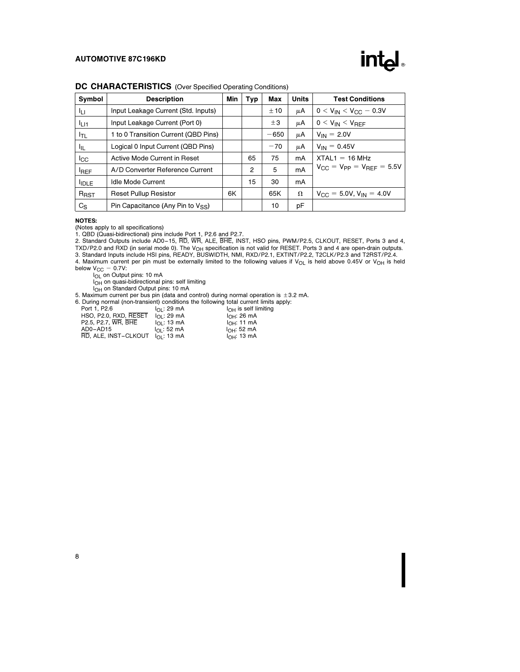

#### DC CHARACTERISTICS (Over Specified Operating Conditions)

| Symbol          | <b>Description</b>                     | Min | Typ | Max    | <b>Units</b> | <b>Test Conditions</b>                                  |
|-----------------|----------------------------------------|-----|-----|--------|--------------|---------------------------------------------------------|
| ĪЦ              | Input Leakage Current (Std. Inputs)    |     |     | ±10    | μA           | $0 < V_{IN} < V_{CC} - 0.3V$                            |
| $I_{L11}$       | Input Leakage Current (Port 0)         |     |     | ±3     | μA           | $0 < V_{IN} < V_{REF}$                                  |
| $I_{TL}$        | 1 to 0 Transition Current (QBD Pins)   |     |     | $-650$ | μA           | $V_{IN} = 2.0V$                                         |
| I <sub>IL</sub> | Logical 0 Input Current (QBD Pins)     |     |     | $-70$  | μA           | $V_{IN} = 0.45V$                                        |
| $_{\rm lcc}$    | Active Mode Current in Reset           |     | 65  | 75     | mA           | $XTAL1 = 16 MHz$                                        |
| <b>REF</b>      | A/D Converter Reference Current        |     | 2   | 5      | mA           | $V_{\text{CC}} = V_{\text{PP}} = V_{\text{RFF}} = 5.5V$ |
| <b>IDLE</b>     | <b>Idle Mode Current</b>               |     | 15  | 30     | mA           |                                                         |
| $R_{RST}$       | <b>Reset Pullup Resistor</b>           | 6K  |     | 65K    | Ω            | $V_{\text{CC}} = 5.0V, V_{\text{IN}} = 4.0V$            |
| $C_{\rm S}$     | Pin Capacitance (Any Pin to $V_{SS}$ ) |     |     | 10     | рF           |                                                         |

#### NOTES:

(Notes apply to all specifications)

1. QBD (Quasi-bidirectional) pins include Port 1, P2.6 and P2.7. 2. Standard Outputs include AD0 –15, RD, WR, ALE, BHE, INST, HSO pins, PWM/P2.5, CLKOUT, RESET, Ports 3 and 4, TXD/P2.0 and RXD (in serial mode 0). The V<sub>OH</sub> specification is not valid for RESET. Ports 3 and 4 are open-drain outputs.

3. Standard Inputs include HSI pins, READY, BUSWIDTH, NMI, RXD/P2.1, EXTINT/P2.2, T2CLK/P2.3 and T2RST/P2.4.

4. Maximum current per pin must be externally limited to the following values if  $V_{OL}$  is held above 0.45V or  $V_{OH}$  is held below  $V_{CC}$  - 0.7V:<br> $I_{OL}$  on Output pins: 10 mA

I<sub>OH</sub> on quasi-bidirectional pins: self limiting

I<sub>OH</sub> on Standard Output pins: 10 mA

5. Maximum current per bus pin (data and control) during normal operation is  $\pm 3.2$  mA.<br>6. During normal (non-transient) conditions the following total current limits apply: limits apply:<br>niting

| 3. During normal (non-transient) conditions the following total current limits |                      |                                  |
|--------------------------------------------------------------------------------|----------------------|----------------------------------|
| Port 1, P2.6                                                                   | $I_{\Omega}$ : 29 mA | $I_{\bigcap H}$ is self limiting |
| HSO, P2.0, RXD, RESET                                                          | $I_{\Omega}$ : 29 mA | $I_{\text{OH}}$ : 26 mA          |
| P2.5. P2.7. WR. BHE                                                            | $I_{\Omega}$ : 13 mA | I <sub>OH</sub> : 11 mA          |
| $AD0 - AD15$                                                                   | $I_{\Omega}$ : 52 mA | $I_{OH}$ : 52 mA                 |
| $\overline{RD}$ , ALE, INST-CLKOUT $I_{\Omega}$ : 13 mA                        |                      | $I_{OH}$ : 13 mA                 |
|                                                                                |                      |                                  |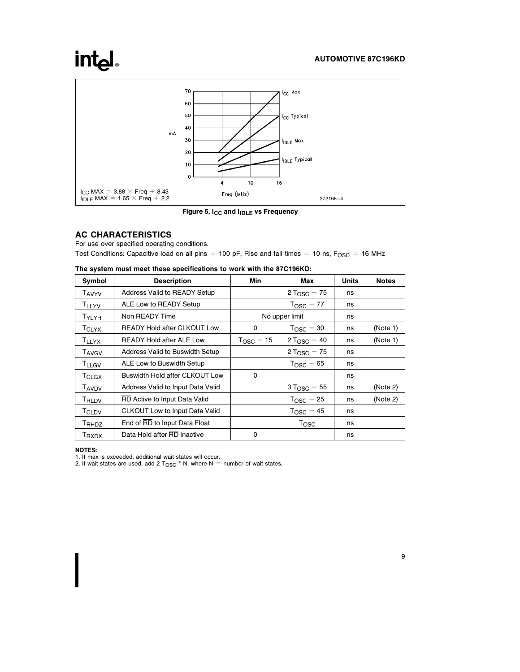# intel



Figure 5. I<sub>CC</sub> and I<sub>IDLE</sub> vs Frequency

# AC CHARACTERISTICS

For use over specified operating conditions. Test Conditions: Capacitive load on all pins = 100 pF, Rise and fall times = 10 ns,  $F_{\text{OSC}} = 16 \text{ MHz}$ 

| Symbol                   | <b>Description</b>                 | Min                   | Max                     | <b>Units</b> | <b>Notes</b> |
|--------------------------|------------------------------------|-----------------------|-------------------------|--------------|--------------|
| <b>TAVYV</b>             | Address Valid to READY Setup       |                       | 2 T <sub>OSC</sub> – 75 | ns           |              |
| <b>TLLYV</b>             | ALE Low to READY Setup             |                       | $T_{\text{OSC}} - 77$   | ns           |              |
| TYLYH                    | Non READY Time                     |                       | No upper limit          | ns           |              |
| TCLYX                    | <b>READY Hold after CLKOUT Low</b> | 0                     | $TOSC - 30$             | ns           | (Note 1)     |
| <b>TLLYX</b>             | <b>READY Hold after ALE Low</b>    | $T_{\text{OSC}} - 15$ | $2 T_{\text{OSC}} - 40$ | ns           | (Note 1)     |
| <b>TAVGV</b>             | Address Valid to Buswidth Setup    |                       | $2 T_{\text{OSC}} - 75$ | ns           |              |
| $T_{LLGV}$               | ALE Low to Buswidth Setup          |                       | $T_{\text{OSC}}$ – 65   | ns           |              |
| $T_{CLGX}$               | Buswidth Hold after CLKOUT Low     | 0                     |                         | ns           |              |
| <b>TAVDV</b>             | Address Valid to Input Data Valid  |                       | $3 T_{\text{OSC}} - 55$ | ns           | (Note 2)     |
| TRLDV                    | RD Active to Input Data Valid      |                       | $T_{\text{OSC}} - 25$   | ns           | (Note 2)     |
| T <sub>CLDV</sub>        | CLKOUT Low to Input Data Valid     |                       | $T_{\text{OSC}} - 45$   | ns           |              |
| T <sub>RHDZ</sub>        | End of RD to Input Data Float      |                       | Tosc                    | ns           |              |
| <b>T</b> <sub>RXDX</sub> | Data Hold after RD Inactive        | 0                     |                         | ns           |              |

|  |  |  | The system must meet these specifications to work with the 87C196KD: |  |  |  |
|--|--|--|----------------------------------------------------------------------|--|--|--|
|  |  |  |                                                                      |  |  |  |

#### NOTES:

1. If max is exceeded, additional wait states will occur.

2. If wait states are used, add 2  $T_{\text{OSC}}$  \* N, where N = number of wait states.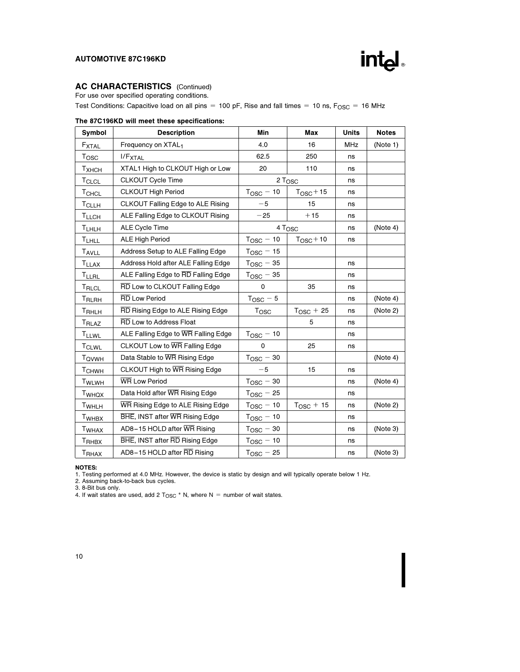

# AC CHARACTERISTICS (Continued)

For use over specified operating conditions.

Test Conditions: Capacitive load on all pins = 100 pF, Rise and fall times = 10 ns,  $F_{\text{OSC}}$  = 16 MHz

|  |  |  |  |  | The 87C196KD will meet these specifications: |
|--|--|--|--|--|----------------------------------------------|
|--|--|--|--|--|----------------------------------------------|

| Symbol            | <b>Description</b>                  | Min                   | Max                   | <b>Units</b> | <b>Notes</b> |
|-------------------|-------------------------------------|-----------------------|-----------------------|--------------|--------------|
| <b>FXTAL</b>      | Frequency on XTAL1                  | 4.0                   | 16                    | <b>MHz</b>   | (Note 1)     |
| $T_{\rm{OSC}}$    | $I/F_{\text{XTAL}}$                 | 62.5                  | 250                   | ns           |              |
| Тхнсн             | XTAL1 High to CLKOUT High or Low    | 20                    | 110                   | ns           |              |
| <b>TCLCL</b>      | <b>CLKOUT Cycle Time</b>            |                       | 2 T <sub>OSC</sub>    | ns           |              |
| TCHCL             | <b>CLKOUT High Period</b>           | $T_{\text{OSC}} - 10$ | $T_{\text{OSC}} + 15$ | ns           |              |
| <b>T</b> CLLH     | CLKOUT Falling Edge to ALE Rising   | $-5$                  | 15                    | ns           |              |
| T <sub>LLCH</sub> | ALE Falling Edge to CLKOUT Rising   | $-25$                 | $+15$                 | ns           |              |
| <b>T</b> LHLH     | <b>ALE Cycle Time</b>               |                       | 4 Tosc                | ns           | (Note 4)     |
| <b>TLHLL</b>      | <b>ALE High Period</b>              | $T_{\rm OSC}$ $-$ 10  | $TOSC+10$             | ns           |              |
| TAVLL             | Address Setup to ALE Falling Edge   | $T_{\rm OSC}$ $-$ 15  |                       |              |              |
| <b>TLLAX</b>      | Address Hold after ALE Falling Edge | $T_{\text{OSC}} - 35$ |                       | ns           |              |
| <b>TLLRL</b>      | ALE Falling Edge to RD Falling Edge | $T_{\text{OSC}} - 35$ |                       | ns           |              |
| T <sub>RLCL</sub> | RD Low to CLKOUT Falling Edge       | $\Omega$              | 35                    | ns           |              |
| T <sub>RLRH</sub> | <b>RD Low Period</b>                | $T_{\text{OSC}} - 5$  |                       | ns           | (Note 4)     |
| TRHLH             | RD Rising Edge to ALE Rising Edge   | Tosc                  | $T_{\text{OSC}} + 25$ | ns           | (Note 2)     |
| T <sub>RLAZ</sub> | <b>RD</b> Low to Address Float      |                       | 5                     | ns           |              |
| <b>TLLWL</b>      | ALE Falling Edge to WR Falling Edge | $T_{\text{OSC}} - 10$ |                       | ns           |              |
| <b>TCLWL</b>      | CLKOUT Low to WR Falling Edge       | $\Omega$              | 25                    | ns           |              |
| T <sub>QVWH</sub> | Data Stable to WR Rising Edge       | $T_{\text{OSC}} - 30$ |                       |              | (Note 4)     |
| T <sub>CHWH</sub> | CLKOUT High to WR Rising Edge       | $-5$                  | 15                    | ns           |              |
| T <sub>WLWH</sub> | <b>WR Low Period</b>                | $T_{\text{OSC}} - 30$ |                       | ns           | (Note 4)     |
| T <sub>WHQX</sub> | Data Hold after WR Rising Edge      | $T_{\text{OSC}} - 25$ |                       | ns           |              |
| T <sub>WHLH</sub> | WR Rising Edge to ALE Rising Edge   | $T_{\text{OSC}} - 10$ | $T_{\text{OSC}} + 15$ | ns           | (Note 2)     |
| T <sub>WHBX</sub> | BHE, INST after WR Rising Edge      | $T_{\text{OSC}} - 10$ |                       | ns           |              |
| <b>TWHAX</b>      | AD8-15 HOLD after WR Rising         | $T_{\rm OSC}$ $-$ 30  |                       | ns           | (Note 3)     |
| T <sub>RHBX</sub> | BHE, INST after RD Rising Edge      | $T_{\text{OSC}} - 10$ |                       | ns           |              |
| T <sub>RHAX</sub> | AD8-15 HOLD after RD Rising         | $T_{\text{OSC}} - 25$ |                       | ns           | (Note 3)     |

NOTES:

1. Testing performed at 4.0 MHz. However, the device is static by design and will typically operate below 1 Hz.

2. Assuming back-to-back bus cycles.<br>3. 8-Bit bus only.<br>4. If wait states are used, add 2 T<sub>OSC</sub> \* N, where N = number of wait states.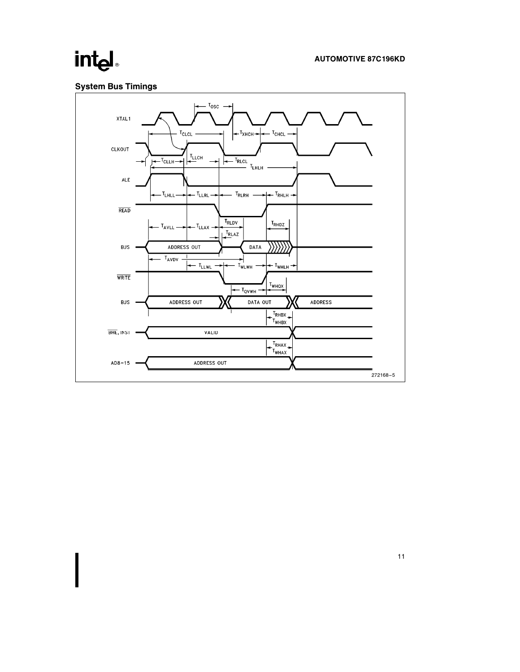# System Bus Timings

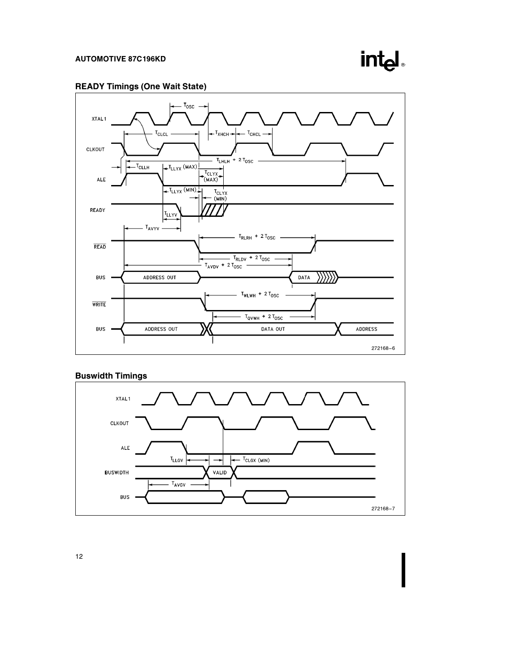

# READY Timings (One Wait State)



# Buswidth Timings



12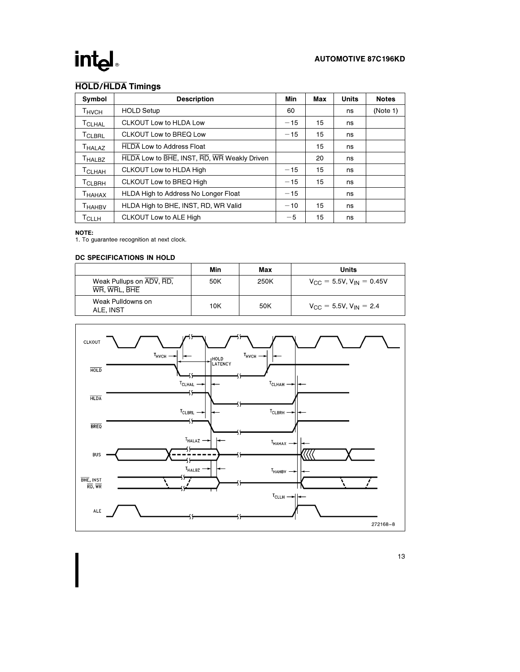## AUTOMOTIVE 87C196KD

# HOLD/HLDA Timings

| Symbol             | <b>Description</b>                          | Min   | Max | <b>Units</b> | <b>Notes</b> |
|--------------------|---------------------------------------------|-------|-----|--------------|--------------|
| Тнусн              | <b>HOLD Setup</b>                           | 60    |     | ns           | (Note 1)     |
| T <sub>CLHAL</sub> | <b>CLKOUT Low to HLDA Low</b>               | $-15$ | 15  | ns           |              |
| T <sub>CLBRL</sub> | CLKOUT Low to BREQ Low                      | $-15$ | 15  | ns           |              |
| T <sub>HALAZ</sub> | <b>HLDA Low to Address Float</b>            |       | 15  | ns           |              |
| <b>THALBZ</b>      | HLDA Low to BHE, INST, RD, WR Weakly Driven |       | 20  | ns           |              |
| <b>T</b> CLHAH     | <b>CLKOUT Low to HLDA High</b>              | $-15$ | 15  | ns           |              |
| <b>TCLBRH</b>      | <b>CLKOUT Low to BREQ High</b>              | $-15$ | 15  | ns           |              |
| T <sub>HAHAX</sub> | <b>HLDA High to Address No Longer Float</b> | $-15$ |     | ns           |              |
| T <sub>HAHBV</sub> | HLDA High to BHE, INST, RD, WR Valid        | $-10$ | 15  | ns           |              |
| <b>T</b> CLLH      | CLKOUT Low to ALE High                      | $-5$  | 15  | ns           |              |

#### NOTE:

1. To guarantee recognition at next clock.

#### DC SPECIFICATIONS IN HOLD

|                                          | Min | Max  | Units                                            |
|------------------------------------------|-----|------|--------------------------------------------------|
| Weak Pullups on ADV, RD,<br>WR. WRL. BHE | 50K | 250K | $V_{\text{CC}} = 5.5V$ , $V_{\text{IN}} = 0.45V$ |
| Weak Pulldowns on<br>ALE. INST           | 10K | 50K  | $V_{\text{CC}} = 5.5V, V_{\text{IN}} = 2.4$      |

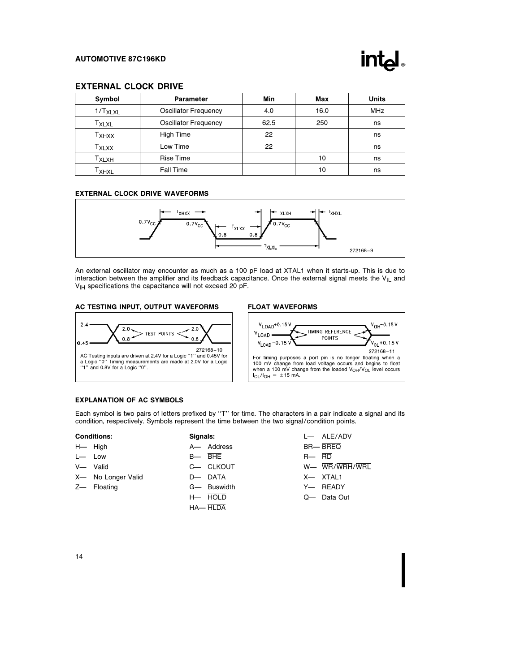

#### EXTERNAL CLOCK DRIVE

| <b>Symbol</b>       | <b>Parameter</b>            | Min  | Max  | <b>Units</b> |
|---------------------|-----------------------------|------|------|--------------|
| 1/T <sub>XLXL</sub> | <b>Oscillator Frequency</b> | 4.0  | 16.0 | <b>MHz</b>   |
| T <sub>XLXL</sub>   | <b>Oscillator Frequency</b> | 62.5 | 250  | ns           |
| Т <sub>ХНХХ</sub>   | High Time                   | 22   |      | ns           |
| T <sub>XLXX</sub>   | Low Time                    | 22   |      | ns           |
| T <sub>XLXH</sub>   | <b>Rise Time</b>            |      | 10   | ns           |
| ⊤хнх∟               | <b>Fall Time</b>            |      | 10   | ns           |

#### EXTERNAL CLOCK DRIVE WAVEFORMS



An external oscillator may encounter as much as a 100 pF load at XTAL1 when it starts-up. This is due to interaction between the amplifier and its feedback capacitance. Once the external signal meets the  $V_{\|L}$  and V<sub>IH</sub> specifications the capacitance will not exceed 20 pF.

#### AC TESTING INPUT, OUTPUT WAVEFORMS

#### FLOAT WAVEFORMS



#### EXPLANATION OF AC SYMBOLS

Each symbol is two pairs of letters prefixed by "T" for time. The characters in a pair indicate a signal and its condition, respectively. Symbols represent the time between the two signal/condition points.

| <b>Conditions:</b> |  |
|--------------------|--|
|                    |  |

- H- High
- Low
- V- Valid
- X- No Longer Valid
- Z- Floating
- D- DATA G- Buswidth
	- $H HOLD$

Signals: A- Address  $B - BHE$ C- CLKOUT

HA-HLDA

 $L$ — ALE/ $\overline{ADV}$ BR— BREQ R<sub>—</sub>RD W- WR/WRH/WRL X-XTAL1 Y- READY Q- Data Out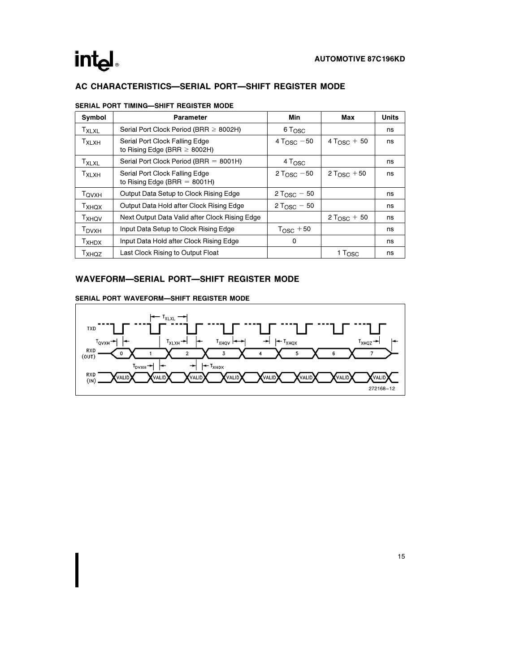

# AC CHARACTERISTICS-SERIAL PORT-SHIFT REGISTER MODE

| Symbol                   | Parameter                                                           | Min                      | Max                | <b>Units</b> |
|--------------------------|---------------------------------------------------------------------|--------------------------|--------------------|--------------|
| <b>T</b> <sub>XLXL</sub> | Serial Port Clock Period (BRR $\geq$ 8002H)                         | $6T_{\rm OSC}$           |                    | ns           |
| T <sub>XLXH</sub>        | Serial Port Clock Falling Edge<br>to Rising Edge (BRR $\geq$ 8002H) | 4 T <sub>OSC</sub> $-50$ | $4 T_{OSC} + 50$   | ns           |
| $T_{XLXL}$               | Serial Port Clock Period (BRR = $8001H$ )                           | 4T <sub>OSC</sub>        |                    | ns           |
| T <sub>XLXH</sub>        | Serial Port Clock Falling Edge<br>to Rising Edge (BRR $=$ 8001H)    | 2 T <sub>OSC</sub> $-50$ | $2 T_{OSC} + 50$   | ns           |
| <b>TOVXH</b>             | Output Data Setup to Clock Rising Edge                              | 2 T <sub>OSC</sub> $-50$ |                    | ns           |
| T <sub>XHQX</sub>        | Output Data Hold after Clock Rising Edge                            | $2 T_{OSC} - 50$         |                    | ns           |
| <b>T</b> <sub>XHQV</sub> | Next Output Data Valid after Clock Rising Edge                      |                          | $2 T_{OSC} + 50$   | ns           |
| <b>T</b> <sub>DVXH</sub> | Input Data Setup to Clock Rising Edge                               | $TOSC + 50$              |                    | ns           |
| <b>T</b> <sub>XHDX</sub> | Input Data Hold after Clock Rising Edge                             | 0                        |                    | ns           |
| T <sub>XHQZ</sub>        | Last Clock Rising to Output Float                                   |                          | $1 T_{\text{OSC}}$ | ns           |

#### SERIAL PORT TIMING-SHIFT REGISTER MODE

## WAVEFORM-SERIAL PORT-SHIFT REGISTER MODE

### SERIAL PORT WAVEFORM-SHIFT REGISTER MODE

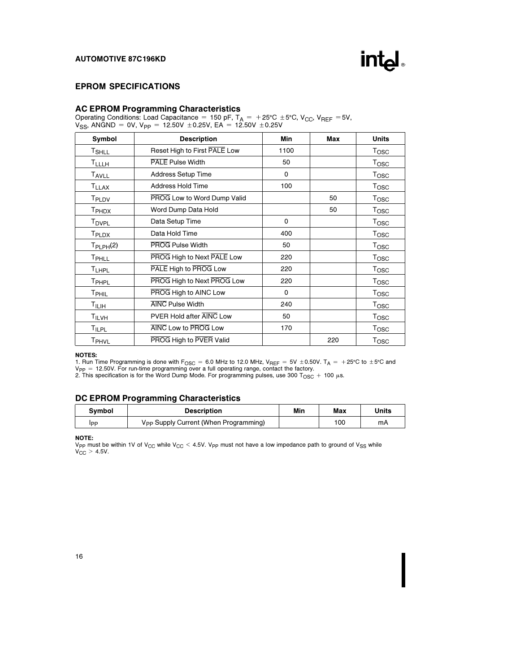

# EPROM SPECIFICATIONS

#### AC EPROM Programming Characteristics

Operating Conditions: Load Capacitance = 150 pF,  $T_A$  = +25°C ±5°C, V<sub>CC</sub>, V<sub>REF</sub> =5V,  $\rm V_{SS}$ , ANĞND = 0V, V<sub>PP</sub> = 12.50V  $\pm$ 0.25V, EA = 12.50V  $\pm$ 0.25V

| Symbol                  | <b>Description</b>           | Min         | Max | <b>Units</b>     |
|-------------------------|------------------------------|-------------|-----|------------------|
| <b>T</b> SHLL           | Reset High to First PALE Low | 1100        |     | Tosc             |
| <b>TLLLH</b>            | <b>PALE Pulse Width</b>      | 50          |     | Tosc             |
| <b>TAVLL</b>            | Address Setup Time           | 0           |     | T <sub>OSC</sub> |
| <b>T<sub>LLAX</sub></b> | Address Hold Time            | 100         |     | T <sub>OSC</sub> |
| T <sub>PLDV</sub>       | PROG Low to Word Dump Valid  |             | 50  | Tosc             |
| T <sub>PHDX</sub>       | Word Dump Data Hold          |             | 50  | Tosc             |
| T <sub>DVPL</sub>       | Data Setup Time              | $\Omega$    |     | Tosc             |
| T <sub>PLDX</sub>       | Data Hold Time               | 400         |     | T <sub>OSC</sub> |
| $T_{\sf PLPH}(2)$       | PROG Pulse Width             | 50          |     | T <sub>OSC</sub> |
| TPHLL                   | PROG High to Next PALE Low   | 220         |     | Tosc             |
| <b>TLHPL</b>            | PALE High to PROG Low        | 220         |     | Tosc             |
| T <sub>PHPL</sub>       | PROG High to Next PROG Low   | 220         |     | Tosc             |
| T <sub>PHIL</sub>       | PROG High to AINC Low        | $\mathbf 0$ |     | $T_{\rm OSC}$    |
| $T_{\rm ILIH}$          | <b>AINC Pulse Width</b>      | 240         |     | $T_{\rm OSC}$    |
| TILVH                   | PVER Hold after AINC Low     | 50          |     | T <sub>OSC</sub> |
| <b>TILPL</b>            | AINC Low to PROG Low         | 170         |     | Tosc             |
| T <sub>PHVL</sub>       | PROG High to PVER Valid      |             | 220 | Tosc             |

#### NOTES:

1. Run Time Programming is done with F<sub>OSC</sub> = 6.0 MHz to 12.0 MHz, V<sub>REF</sub> = 5V ± 0.50V. T<sub>A</sub> = +25°C to ±5°C and V<sub>PP</sub> = 12.50V. For run-time programming over a full operating range, contact the factory.<br>2. This specification is for the Word Dump Mode. For programming pulses, use 300 T<sub>OSC</sub> + 100  $\mu$ s.

#### DC EPROM Programming Characteristics

| Symbol | <b>Description</b>                                | Min | Max | Units |
|--------|---------------------------------------------------|-----|-----|-------|
| IPP    | V <sub>PP</sub> Supply Current (When Programming) |     | 100 | mA    |

**NOTE:**<br>V<sub>PP</sub> must be within 1V of V<sub>CC</sub> while V<sub>CC</sub> < 4.5V. V<sub>PP</sub> must not have a low impedance path to ground of V<sub>SS</sub> while<br>V<sub>CC</sub> > 4.5V.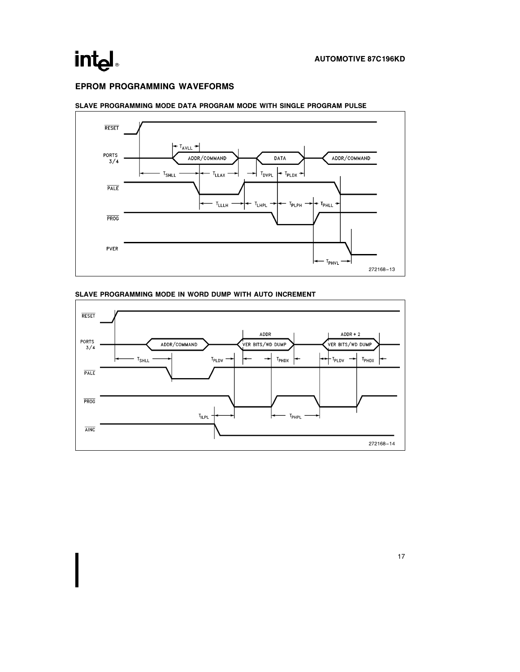## EPROM PROGRAMMING WAVEFORMS



#### SLAVE PROGRAMMING MODE DATA PROGRAM MODE WITH SINGLE PROGRAM PULSE



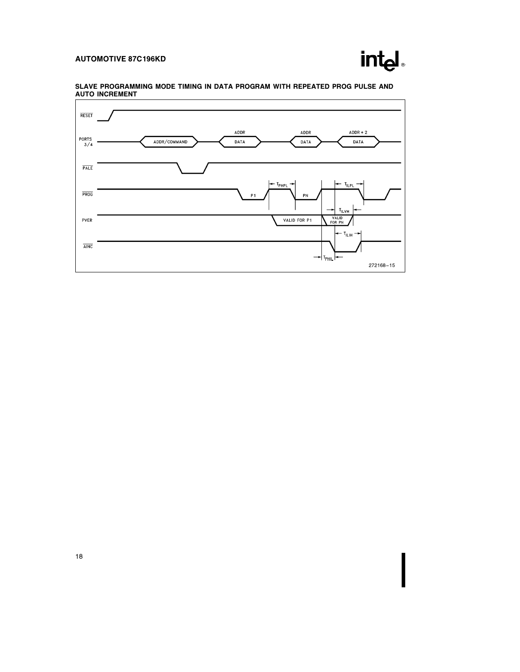

SLAVE PROGRAMMING MODE TIMING IN DATA PROGRAM WITH REPEATED PROG PULSE AND AUTO INCREMENT

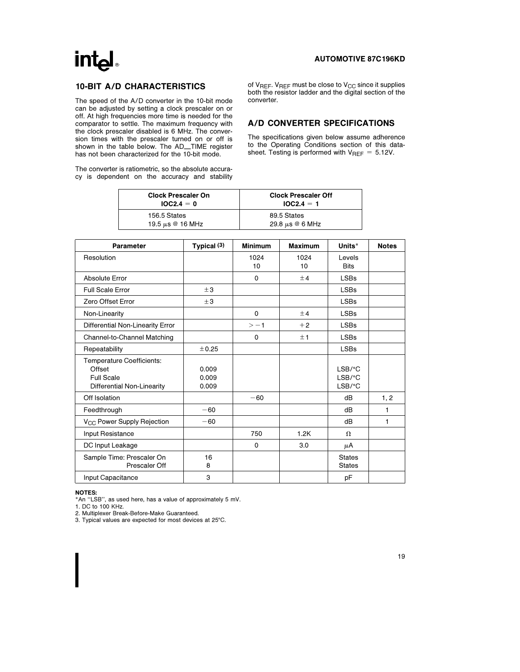# **intal**

#### AUTOMOTIVE 87C196KD

## 10-BIT A/D CHARACTERISTICS

The speed of the A/D converter in the 10-bit mode can be adjusted by setting a clock prescaler on or off. At high frequencies more time is needed for the comparator to settle. The maximum frequency with the clock prescaler disabled is 6 MHz. The conversion times with the prescaler turned on or off is shown in the table below. The AD\_TIME register has not been characterized for the 10-bit mode.

The converter is ratiometric, so the absolute accuracy is dependent on the accuracy and stability of  $V_{REF}$ .  $V_{REF}$  must be close to  $V_{CC}$  since it supplies both the resistor ladder and the digital section of the converter.

### A/D CONVERTER SPECIFICATIONS

The specifications given below assume adherence to the Operating Conditions section of this datasheet. Testing is performed with  $V_{REF} = 5.12V$ .

| <b>Clock Prescaler On</b> | <b>Clock Prescaler Off</b> |
|---------------------------|----------------------------|
| $IOC2.4 = 0$              | $10C2.4 = 1$               |
| 156.5 States              | 89.5 States                |
| 19.5 $\mu$ s @ 16 MHz     | 29.8 $\mu$ s @ 6 MHz       |

| Parameter                                                                              | Typical $(3)$           | <b>Minimum</b> | <b>Maximum</b> | Units*                                                     | <b>Notes</b> |
|----------------------------------------------------------------------------------------|-------------------------|----------------|----------------|------------------------------------------------------------|--------------|
| Resolution                                                                             |                         | 1024<br>10     | 1024<br>10     | Levels<br><b>Bits</b>                                      |              |
| Absolute Error                                                                         |                         | $\mathbf 0$    | $+4$           | <b>LSBs</b>                                                |              |
| <b>Full Scale Error</b>                                                                | ±3                      |                |                | <b>LSBs</b>                                                |              |
| Zero Offset Error                                                                      | ±3                      |                |                | <b>LSBs</b>                                                |              |
| Non-Linearity                                                                          |                         | $\mathbf 0$    | ±4             | <b>LSBs</b>                                                |              |
| Differential Non-Linearity Error                                                       |                         | $> -1$         | $+2$           | <b>LSBs</b>                                                |              |
| Channel-to-Channel Matching                                                            |                         | $\mathbf 0$    | ±1             | <b>LSBs</b>                                                |              |
| Repeatability                                                                          | ±0.25                   |                |                | <b>LSBs</b>                                                |              |
| Temperature Coefficients:<br>Offset<br><b>Full Scale</b><br>Differential Non-Linearity | 0.009<br>0.009<br>0.009 |                |                | $LSB$ / ${}^{\circ}$ C<br>$LSB$ / ${}^{\circ}$ C<br>LSB/°C |              |
| Off Isolation                                                                          |                         | $-60$          |                | dB                                                         | 1, 2         |
| Feedthrough                                                                            | $-60$                   |                |                | dB                                                         | 1            |
| V <sub>CC</sub> Power Supply Rejection                                                 | $-60$                   |                |                | dB                                                         | 1            |
| Input Resistance                                                                       |                         | 750            | 1.2K           | $\Omega$                                                   |              |
| DC Input Leakage                                                                       |                         | $\mathbf 0$    | 3.0            | μA                                                         |              |
| Sample Time: Prescaler On<br>Prescaler Off                                             | 16<br>8                 |                |                | <b>States</b><br><b>States</b>                             |              |
| Input Capacitance                                                                      | 3                       |                |                | pF                                                         |              |

#### NOTES:

\*An ''LSB'', as used here, has a value of approximately 5 mV.

1. DC to 100 KHz.

2. Multiplexer Break-Before-Make Guaranteed.

3. Typical values are expected for most devices at 25°C.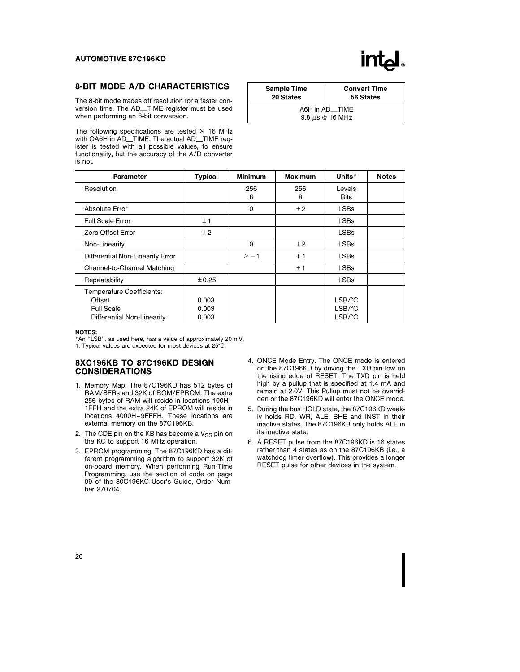

### 8-BIT MODE A/D CHARACTERISTICS

The 8-bit mode trades off resolution for a faster conversion time. The AD\_TIME register must be used when performing an 8-bit conversion.

The following specifications are tested @ 16 MHz with OA6H in AD\_TIME. The actual AD\_TIME register is tested with all possible values, to ensure functionality, but the accuracy of the A/D converter is not.

| <b>Sample Time</b> | <b>Convert Time</b>                    |
|--------------------|----------------------------------------|
| 20 States          | 56 States                              |
|                    | A6H in AD TIME<br>9.8 $\mu$ s @ 16 MHz |

| <b>Parameter</b>                                                                              | <b>Typical</b>          | <b>Minimum</b> | <b>Maximum</b> | Units*                                                          | <b>Notes</b> |
|-----------------------------------------------------------------------------------------------|-------------------------|----------------|----------------|-----------------------------------------------------------------|--------------|
| Resolution                                                                                    |                         | 256<br>8       | 256<br>8       | Levels<br><b>Bits</b>                                           |              |
| Absolute Error                                                                                |                         | 0              | ±2             | <b>LSBs</b>                                                     |              |
| <b>Full Scale Error</b>                                                                       | ±1                      |                |                | <b>LSBs</b>                                                     |              |
| Zero Offset Error                                                                             | $\pm 2$                 |                |                | <b>LSBs</b>                                                     |              |
| Non-Linearity                                                                                 |                         | 0              | ±2             | <b>LSBs</b>                                                     |              |
| Differential Non-Linearity Error                                                              |                         | $> -1$         | $+1$           | <b>LSBs</b>                                                     |              |
| Channel-to-Channel Matching                                                                   |                         |                | ±1             | <b>LSBs</b>                                                     |              |
| Repeatability                                                                                 | ±0.25                   |                |                | <b>LSBs</b>                                                     |              |
| <b>Temperature Coefficients:</b><br>Offset<br><b>Full Scale</b><br>Differential Non-Linearity | 0.003<br>0.003<br>0.003 |                |                | $LSB$ /°C<br>$LSB$ /°C<br>$LSB$ <sup><math>\circ</math></sup> C |              |

#### NOTES:

\*An ''LSB'', as used here, has a value of approximately 20 mV. 1. Typical values are expected for most devices at 25°C.

#### 8XC196KB TO 87C196KD DESIGN CONSIDERATIONS

- 1. Memory Map. The 87C196KD has 512 bytes of RAM/SFRs and 32K of ROM/EPROM. The extra 256 bytes of RAM will reside in locations 100H – 1FFH and the extra 24K of EPROM will reside in locations 4000H-9FFFH. These locations are external memory on the 87C196KB.
- 2. The CDE pin on the KB has become a  $V_{SS}$  pin on the KC to support 16 MHz operation.
- 3. EPROM programming. The 87C196KD has a different programming algorithm to support 32K of on-board memory. When performing Run-Time Programming, use the section of code on page 99 of the 80C196KC User's Guide, Order Number 270704.
- 4. ONCE Mode Entry. The ONCE mode is entered on the 87C196KD by driving the TXD pin low on the rising edge of RESET. The TXD pin is held high by a pullup that is specified at 1.4 mA and remain at 2.0V. This Pullup must not be overridden or the 87C196KD will enter the ONCE mode.
- 5. During the bus HOLD state, the 87C196KD weakly holds RD, WR, ALE, BHE and INST in their inactive states. The 87C196KB only holds ALE in its inactive state.
- 6. A RESET pulse from the 87C196KD is 16 states rather than 4 states as on the 87C196KB (i.e., a watchdog timer overflow). This provides a longer RESET pulse for other devices in the system.